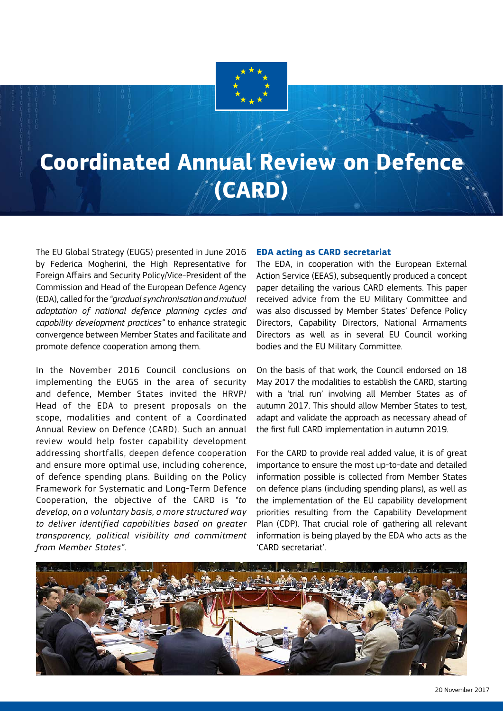

# **Coordinated Annual Review on Defence (CARD)**

The EU Global Strategy (EUGS) presented in June 2016 by Federica Mogherini, the High Representative for Foreign Affairs and Security Policy/Vice-President of the Commission and Head of the European Defence Agency (EDA), called for the *"gradual synchronisation and mutual adaptation of national defence planning cycles and capability development practices"* to enhance strategic convergence between Member States and facilitate and promote defence cooperation among them.

In the November 2016 Council conclusions on implementing the EUGS in the area of security and defence, Member States invited the HRVP/ Head of the EDA to present proposals on the scope, modalities and content of a Coordinated Annual Review on Defence (CARD). Such an annual review would help foster capability development addressing shortfalls, deepen defence cooperation and ensure more optimal use, including coherence, of defence spending plans. Building on the Policy Framework for Systematic and Long-Term Defence Cooperation, the objective of the CARD is *"to develop, on a voluntary basis, a more structured way to deliver identified capabilities based on greater transparency, political visibility and commitment from Member States"*.

### **EDA acting as CARD secretariat**

The EDA, in cooperation with the European External Action Service (EEAS), subsequently produced a concept paper detailing the various CARD elements. This paper received advice from the EU Military Committee and was also discussed by Member States' Defence Policy Directors, Capability Directors, National Armaments Directors as well as in several EU Council working bodies and the EU Military Committee.

On the basis of that work, the Council endorsed on 18 May 2017 the modalities to establish the CARD, starting with a 'trial run' involving all Member States as of autumn 2017. This should allow Member States to test, adapt and validate the approach as necessary ahead of the first full CARD implementation in autumn 2019.

For the CARD to provide real added value, it is of great importance to ensure the most up-to-date and detailed information possible is collected from Member States on defence plans (including spending plans), as well as the implementation of the EU capability development priorities resulting from the Capability Development Plan (CDP). That crucial role of gathering all relevant information is being played by the EDA who acts as the 'CARD secretariat'.